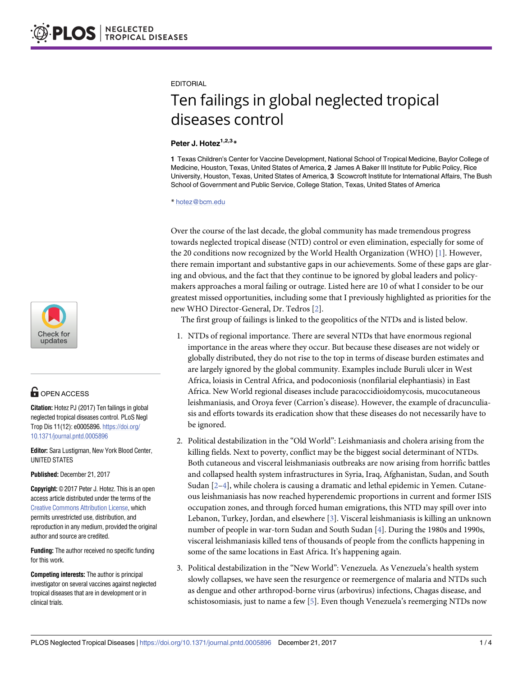

## **G** OPEN ACCESS

**Citation:** Hotez PJ (2017) Ten failings in global neglected tropical diseases control. PLoS Negl Trop Dis 11(12): e0005896. [https://doi.org/](https://doi.org/10.1371/journal.pntd.0005896) [10.1371/journal.pntd.0005896](https://doi.org/10.1371/journal.pntd.0005896)

**Editor:** Sara Lustigman, New York Blood Center, UNITED STATES

**Published:** December 21, 2017

**Copyright:** © 2017 Peter J. Hotez. This is an open access article distributed under the terms of the Creative Commons [Attribution](http://creativecommons.org/licenses/by/4.0/) License, which permits unrestricted use, distribution, and reproduction in any medium, provided the original author and source are credited.

**Funding:** The author received no specific funding for this work.

**Competing interests:** The author is principal investigator on several vaccines against neglected tropical diseases that are in development or in clinical trials.

#### <span id="page-0-0"></span>EDITORIAL

# Ten failings in global neglected tropical diseases control

### **Peter J. Hotez1,2,3\***

**1** Texas Children's Center for Vaccine Development, National School of Tropical Medicine, Baylor College of Medicine, Houston, Texas, United States of America, **2** James A Baker III Institute for Public Policy, Rice University, Houston, Texas, United States of America, **3** Scowcroft Institute for International Affairs, The Bush School of Government and Public Service, College Station, Texas, United States of America

\* hotez@bcm.edu

Over the course of the last decade, the global community has made tremendous progress towards neglected tropical disease (NTD) control or even elimination, especially for some of the 20 conditions now recognized by the World Health Organization (WHO) [\[1\]](#page-2-0). However, there remain important and substantive gaps in our achievements. Some of these gaps are glaring and obvious, and the fact that they continue to be ignored by global leaders and policymakers approaches a moral failing or outrage. Listed here are 10 of what I consider to be our greatest missed opportunities, including some that I previously highlighted as priorities for the new WHO Director-General, Dr. Tedros [[2](#page-2-0)].

The first group of failings is linked to the geopolitics of the NTDs and is listed below.

- 1. NTDs of regional importance. There are several NTDs that have enormous regional importance in the areas where they occur. But because these diseases are not widely or globally distributed, they do not rise to the top in terms of disease burden estimates and are largely ignored by the global community. Examples include Buruli ulcer in West Africa, loiasis in Central Africa, and podoconiosis (nonfilarial elephantiasis) in East Africa. New World regional diseases include paracoccidioidomycosis, mucocutaneous leishmaniasis, and Oroya fever (Carrion's disease). However, the example of dracunculiasis and efforts towards its eradication show that these diseases do not necessarily have to be ignored.
- 2. Political destabilization in the "Old World": Leishmaniasis and cholera arising from the killing fields. Next to poverty, conflict may be the biggest social determinant of NTDs. Both cutaneous and visceral leishmaniasis outbreaks are now arising from horrific battles and collapsed health system infrastructures in Syria, Iraq, Afghanistan, Sudan, and South Sudan  $[2-4]$ , while cholera is causing a dramatic and lethal epidemic in Yemen. Cutaneous leishmaniasis has now reached hyperendemic proportions in current and former ISIS occupation zones, and through forced human emigrations, this NTD may spill over into Lebanon, Turkey, Jordan, and elsewhere [\[3\]](#page-2-0). Visceral leishmaniasis is killing an unknown number of people in war-torn Sudan and South Sudan [\[4\]](#page-2-0). During the 1980s and 1990s, visceral leishmaniasis killed tens of thousands of people from the conflicts happening in some of the same locations in East Africa. It's happening again.
- 3. Political destabilization in the "New World": Venezuela. As Venezuela's health system slowly collapses, we have seen the resurgence or reemergence of malaria and NTDs such as dengue and other arthropod-borne virus (arbovirus) infections, Chagas disease, and schistosomiasis, just to name a few [\[5\]](#page-2-0). Even though Venezuela's reemerging NTDs now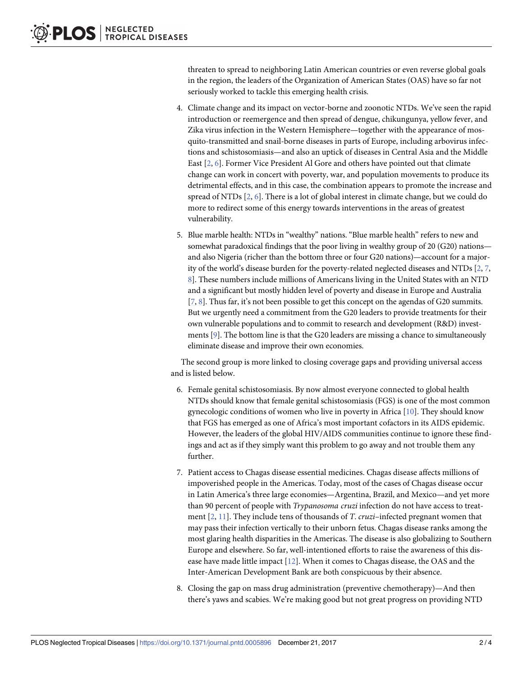<span id="page-1-0"></span>threaten to spread to neighboring Latin American countries or even reverse global goals in the region, the leaders of the Organization of American States (OAS) have so far not seriously worked to tackle this emerging health crisis.

- 4. Climate change and its impact on vector-borne and zoonotic NTDs. We've seen the rapid introduction or reemergence and then spread of dengue, chikungunya, yellow fever, and Zika virus infection in the Western Hemisphere—together with the appearance of mosquito-transmitted and snail-borne diseases in parts of Europe, including arbovirus infections and schistosomiasis—and also an uptick of diseases in Central Asia and the Middle East [\[2,](#page-2-0) [6](#page-2-0)]. Former Vice President Al Gore and others have pointed out that climate change can work in concert with poverty, war, and population movements to produce its detrimental effects, and in this case, the combination appears to promote the increase and spread of NTDs [[2](#page-2-0), [6\]](#page-2-0). There is a lot of global interest in climate change, but we could do more to redirect some of this energy towards interventions in the areas of greatest vulnerability.
- 5. Blue marble health: NTDs in "wealthy" nations. "Blue marble health" refers to new and somewhat paradoxical findings that the poor living in wealthy group of 20 (G20) nations and also Nigeria (richer than the bottom three or four G20 nations)—account for a majority of the world's disease burden for the poverty-related neglected diseases and NTDs  $[2, 7]$  $[2, 7]$  $[2, 7]$  $[2, 7]$ , [8\]](#page-2-0). These numbers include millions of Americans living in the United States with an NTD and a significant but mostly hidden level of poverty and disease in Europe and Australia [\[7](#page-2-0), [8](#page-2-0)]. Thus far, it's not been possible to get this concept on the agendas of G20 summits. But we urgently need a commitment from the G20 leaders to provide treatments for their own vulnerable populations and to commit to research and development (R&D) investments [[9](#page-2-0)]. The bottom line is that the G20 leaders are missing a chance to simultaneously eliminate disease and improve their own economies.

The second group is more linked to closing coverage gaps and providing universal access and is listed below.

- 6. Female genital schistosomiasis. By now almost everyone connected to global health NTDs should know that female genital schistosomiasis (FGS) is one of the most common gynecologic conditions of women who live in poverty in Africa  $[10]$ . They should know that FGS has emerged as one of Africa's most important cofactors in its AIDS epidemic. However, the leaders of the global HIV/AIDS communities continue to ignore these findings and act as if they simply want this problem to go away and not trouble them any further.
- 7. Patient access to Chagas disease essential medicines. Chagas disease affects millions of impoverished people in the Americas. Today, most of the cases of Chagas disease occur in Latin America's three large economies—Argentina, Brazil, and Mexico—and yet more than 90 percent of people with *Trypanosoma cruzi* infection do not have access to treatment [[2](#page-2-0), [11](#page-3-0)]. They include tens of thousands of *T*. *cruzi*–infected pregnant women that may pass their infection vertically to their unborn fetus. Chagas disease ranks among the most glaring health disparities in the Americas. The disease is also globalizing to Southern Europe and elsewhere. So far, well-intentioned efforts to raise the awareness of this disease have made little impact [[12](#page-3-0)]. When it comes to Chagas disease, the OAS and the Inter-American Development Bank are both conspicuous by their absence.
- 8. Closing the gap on mass drug administration (preventive chemotherapy)—And then there's yaws and scabies. We're making good but not great progress on providing NTD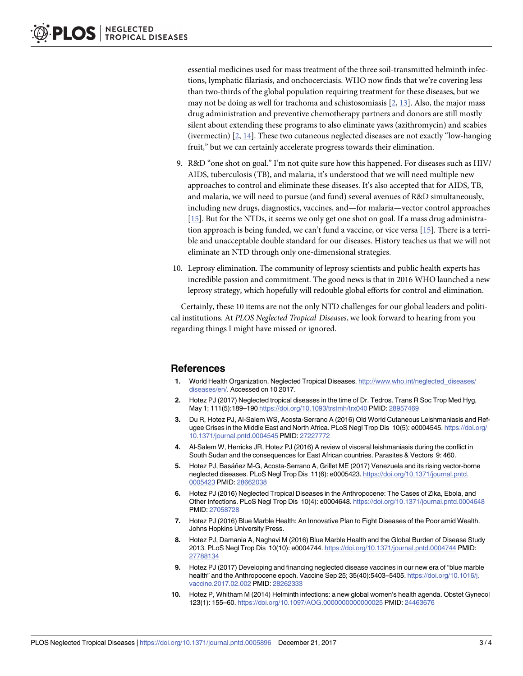<span id="page-2-0"></span>essential medicines used for mass treatment of the three soil-transmitted helminth infections, lymphatic filariasis, and onchocerciasis. WHO now finds that we're covering less than two-thirds of the global population requiring treatment for these diseases, but we may not be doing as well for trachoma and schistosomiasis  $[2, 13]$  $[2, 13]$  $[2, 13]$ . Also, the major mass drug administration and preventive chemotherapy partners and donors are still mostly silent about extending these programs to also eliminate yaws (azithromycin) and scabies (ivermectin) [2, [14](#page-3-0)]. These two cutaneous neglected diseases are not exactly "low-hanging fruit," but we can certainly accelerate progress towards their elimination.

- 9. R&D "one shot on goal." I'm not quite sure how this happened. For diseases such as HIV/ AIDS, tuberculosis (TB), and malaria, it's understood that we will need multiple new approaches to control and eliminate these diseases. It's also accepted that for AIDS, TB, and malaria, we will need to pursue (and fund) several avenues of R&D simultaneously, including new drugs, diagnostics, vaccines, and—for malaria—vector control approaches [\[15\]](#page-3-0). But for the NTDs, it seems we only get one shot on goal. If a mass drug administration approach is being funded, we can't fund a vaccine, or vice versa [\[15\]](#page-3-0). There is a terrible and unacceptable double standard for our diseases. History teaches us that we will not eliminate an NTD through only one-dimensional strategies.
- 10. Leprosy elimination. The community of leprosy scientists and public health experts has incredible passion and commitment. The good news is that in 2016 WHO launched a new leprosy strategy, which hopefully will redouble global efforts for control and elimination.

Certainly, these 10 items are not the only NTD challenges for our global leaders and political institutions. At *PLOS Neglected Tropical Diseases*, we look forward to hearing from you regarding things I might have missed or ignored.

### **References**

- **[1](#page-0-0).** World Health Organization. Neglected Tropical Diseases. [http://www.who.int/neglected\\_diseases/](http://www.who.int/neglected_diseases/diseases/en/) [diseases/en/.](http://www.who.int/neglected_diseases/diseases/en/) Accessed on 10 2017.
- **[2](#page-0-0).** Hotez PJ (2017) Neglected tropical diseases in the time of Dr. Tedros. Trans R Soc Trop Med Hyg, May 1; 111(5):189–190 <https://doi.org/10.1093/trstmh/trx040> PMID: [28957469](http://www.ncbi.nlm.nih.gov/pubmed/28957469)
- **[3](#page-0-0).** Du R, Hotez PJ, Al-Salem WS, Acosta-Serrano A (2016) Old World Cutaneous Leishmaniasis and Refugee Crises in the Middle East and North Africa. PLoS Negl Trop Dis 10(5): e0004545. [https://doi.org/](https://doi.org/10.1371/journal.pntd.0004545) [10.1371/journal.pntd.0004545](https://doi.org/10.1371/journal.pntd.0004545) PMID: [27227772](http://www.ncbi.nlm.nih.gov/pubmed/27227772)
- **[4](#page-0-0).** Al-Salem W, Herricks JR, Hotez PJ (2016) A review of visceral leishmaniasis during the conflict in South Sudan and the consequences for East African countries. Parasites & Vectors 9: 460.
- **[5](#page-0-0).** Hotez PJ, Basa´ñez M-G, Acosta-Serrano A, Grillet ME (2017) Venezuela and its rising vector-borne neglected diseases. PLoS Negl Trop Dis 11(6): e0005423. [https://doi.org/10.1371/journal.pntd.](https://doi.org/10.1371/journal.pntd.0005423) [0005423](https://doi.org/10.1371/journal.pntd.0005423) PMID: [28662038](http://www.ncbi.nlm.nih.gov/pubmed/28662038)
- **[6](#page-1-0).** Hotez PJ (2016) Neglected Tropical Diseases in the Anthropocene: The Cases of Zika, Ebola, and Other Infections. PLoS Negl Trop Dis 10(4): e0004648. <https://doi.org/10.1371/journal.pntd.0004648> PMID: [27058728](http://www.ncbi.nlm.nih.gov/pubmed/27058728)
- **[7](#page-1-0).** Hotez PJ (2016) Blue Marble Health: An Innovative Plan to Fight Diseases of the Poor amid Wealth. Johns Hopkins University Press.
- **[8](#page-1-0).** Hotez PJ, Damania A, Naghavi M (2016) Blue Marble Health and the Global Burden of Disease Study 2013. PLoS Negl Trop Dis 10(10): e0004744. <https://doi.org/10.1371/journal.pntd.0004744> PMID: [27788134](http://www.ncbi.nlm.nih.gov/pubmed/27788134)
- **[9](#page-1-0).** Hotez PJ (2017) Developing and financing neglected disease vaccines in our new era of "blue marble health" and the Anthropocene epoch. Vaccine Sep 25; 35(40):5403–5405. [https://doi.org/10.1016/j.](https://doi.org/10.1016/j.vaccine.2017.02.002) [vaccine.2017.02.002](https://doi.org/10.1016/j.vaccine.2017.02.002) PMID: [28262333](http://www.ncbi.nlm.nih.gov/pubmed/28262333)
- **[10](#page-1-0).** Hotez P, Whitham M (2014) Helminth infections: a new global women's health agenda. Obstet Gynecol 123(1): 155–60. <https://doi.org/10.1097/AOG.0000000000000025> PMID: [24463676](http://www.ncbi.nlm.nih.gov/pubmed/24463676)